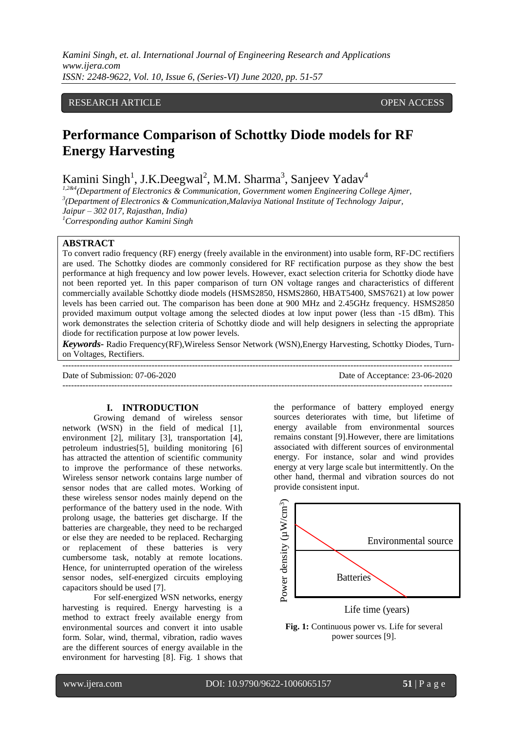# RESEARCH ARTICLE **CONSERVERS** OPEN ACCESS

# **Performance Comparison of Schottky Diode models for RF Energy Harvesting**

Kamini Singh<sup>1</sup>, J.K.Deegwal<sup>2</sup>, M.M. Sharma<sup>3</sup>, Sanjeev Yadav<sup>4</sup>

*1,2&4(Department of Electronics & Communication, Government women Engineering College Ajmer, 3 (Department of Electronics & Communication,Malaviya National Institute of Technology Jaipur, Jaipur – 302 017, Rajasthan, India) <sup>1</sup>Corresponding author Kamini Singh*

## **ABSTRACT**

To convert radio frequency (RF) energy (freely available in the environment) into usable form, RF-DC rectifiers are used. The Schottky diodes are commonly considered for RF rectification purpose as they show the best performance at high frequency and low power levels. However, exact selection criteria for Schottky diode have not been reported yet. In this paper comparison of turn ON voltage ranges and characteristics of different commercially available Schottky diode models (HSMS2850, HSMS2860, HBAT5400, SMS7621) at low power levels has been carried out. The comparison has been done at 900 MHz and 2.45GHz frequency. HSMS2850 provided maximum output voltage among the selected diodes at low input power (less than -15 dBm). This work demonstrates the selection criteria of Schottky diode and will help designers in selecting the appropriate diode for rectification purpose at low power levels.

*Keywords***-** Radio Frequency(RF),Wireless Sensor Network (WSN),Energy Harvesting, Schottky Diodes, Turnon Voltages, Rectifiers. ---------------------------------------------------------------------------------------------------------------------------------------

---------------------------------------------------------------------------------------------------------------------------------------

Date of Submission: 07-06-2020 Date of Acceptance: 23-06-2020

#### **I. INTRODUCTION**

Growing demand of wireless sensor network (WSN) in the field of medical [1], environment [2], military [3], transportation [4], petroleum industries[5], building monitoring [6] has attracted the attention of scientific community to improve the performance of these networks. Wireless sensor network contains large number of sensor nodes that are called motes. Working of these wireless sensor nodes mainly depend on the performance of the battery used in the node. With prolong usage, the batteries get discharge. If the batteries are chargeable, they need to be recharged or else they are needed to be replaced. Recharging or replacement of these batteries is very cumbersome task, notably at remote locations. Hence, for uninterrupted operation of the wireless sensor nodes, self-energized circuits employing capacitors should be used [7].

For self-energized WSN networks, energy harvesting is required. Energy harvesting is a method to extract freely available energy from environmental sources and convert it into usable form. Solar, wind, thermal, vibration, radio waves are the different sources of energy available in the environment for harvesting [8]. Fig. 1 shows that

the performance of battery employed energy sources deteriorates with time, but lifetime of energy available from environmental sources remains constant [9].However, there are limitations associated with different sources of environmental energy. For instance, solar and wind provides energy at very large scale but intermittently. On the other hand, thermal and vibration sources do not provide consistent input.



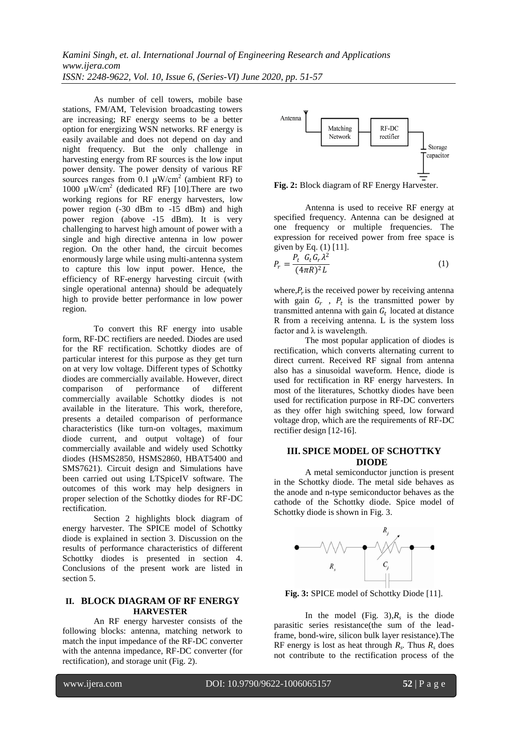As number of cell towers, mobile base stations, FM/AM, Television broadcasting towers are increasing; RF energy seems to be a better option for energizing WSN networks. RF energy is easily available and does not depend on day and night frequency. But the only challenge in harvesting energy from RF sources is the low input power density. The power density of various RF sources ranges from 0.1  $\mu$ W/cm<sup>2</sup> (ambient RF) to 1000  $\mu$ W/cm<sup>2</sup> (dedicated RF) [10]. There are two working regions for RF energy harvesters, low power region (-30 dBm to -15 dBm) and high power region (above -15 dBm). It is very challenging to harvest high amount of power with a single and high directive antenna in low power region. On the other hand, the circuit becomes enormously large while using multi-antenna system to capture this low input power. Hence, the efficiency of RF-energy harvesting circuit (with single operational antenna) should be adequately high to provide better performance in low power region.

To convert this RF energy into usable form, RF-DC rectifiers are needed. Diodes are used for the RF rectification. Schottky diodes are of particular interest for this purpose as they get turn on at very low voltage. Different types of Schottky diodes are commercially available. However, direct comparison of performance of different commercially available Schottky diodes is not available in the literature. This work, therefore, presents a detailed comparison of performance characteristics (like turn-on voltages, maximum diode current, and output voltage) of four commercially available and widely used Schottky diodes (HSMS2850, HSMS2860, HBAT5400 and SMS7621). Circuit design and Simulations have been carried out using LTSpiceIV software. The outcomes of this work may help designers in proper selection of the Schottky diodes for RF-DC rectification.

Section 2 highlights block diagram of energy harvester. The SPICE model of Schottky diode is explained in section 3. Discussion on the results of performance characteristics of different Schottky diodes is presented in section 4. Conclusions of the present work are listed in section 5.

## **II. BLOCK DIAGRAM OF RF ENERGY HARVESTER**

An RF energy harvester consists of the following blocks: antenna, matching network to match the input impedance of the RF-DC converter with the antenna impedance, RF-DC converter (for rectification), and storage unit (Fig. 2).



**Fig. 2:** Block diagram of RF Energy Harvester.

Antenna is used to receive RF energy at specified frequency. Antenna can be designed at one frequency or multiple frequencies. The expression for received power from free space is given by Eq. (1) [11].

$$
P_r = \frac{P_t \ G_t G_r \lambda^2}{(4\pi R)^2 L} \tag{1}
$$

where, $P_r$  is the received power by receiving antenna with gain  $G_r$ ,  $P_t$  is the transmitted power by transmitted antenna with gain  $G_t$  located at distance R from a receiving antenna. L is the system loss factor and  $\lambda$  is wavelength.

The most popular application of diodes is rectification, which converts alternating current to direct current. Received RF signal from antenna also has a sinusoidal waveform. Hence, diode is used for rectification in RF energy harvesters. In most of the literatures, Schottky diodes have been used for rectification purpose in RF-DC converters as they offer high switching speed, low forward voltage drop, which are the requirements of RF-DC rectifier design [12-16].

# **III. SPICE MODEL OF SCHOTTKY DIODE**

A metal semiconductor junction is present in the Schottky diode. The metal side behaves as the anode and n-type semiconductor behaves as the cathode of the Schottky diode. Spice model of Schottky diode is shown in Fig. 3.



**Fig. 3:** SPICE model of Schottky Diode [11].

In the model (Fig.  $3$ ), $R_s$  is the diode parasitic series resistance(the sum of the leadframe, bond-wire, silicon bulk layer resistance).The RF energy is lost as heat through  $R_s$ . Thus  $R_s$  does not contribute to the rectification process of the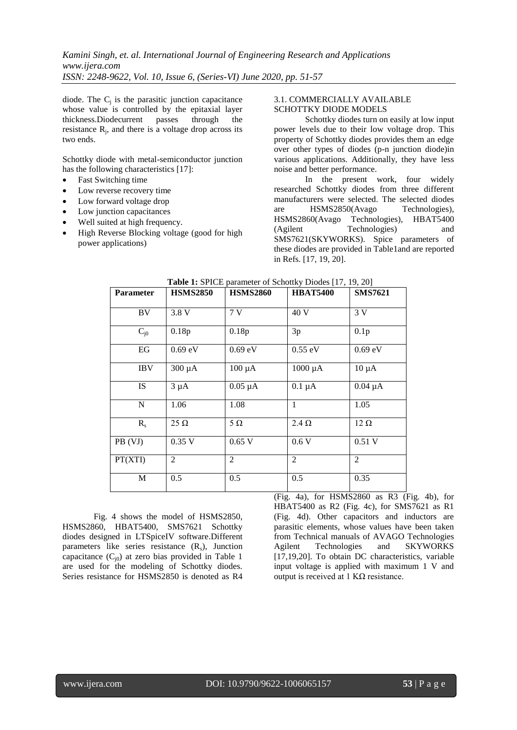diode. The  $C_j$  is the parasitic junction capacitance whose value is controlled by the epitaxial layer thickness.Diodecurrent passes through the resistance  $R_j$ , and there is a voltage drop across its two ends.

Schottky diode with metal-semiconductor junction has the following characteristics [17]:

- Fast Switching time
- Low reverse recovery time
- Low forward voltage drop
- Low junction capacitances
- Well suited at high frequency.
- High Reverse Blocking voltage (good for high power applications)

## 3.1. COMMERCIALLY AVAILABLE SCHOTTKY DIODE MODELS

Schottky diodes turn on easily at low input power levels due to their low voltage drop. This property of Schottky diodes provides them an edge over other types of diodes (p-n junction diode)in various applications. Additionally, they have less noise and better performance.

In the present work, four widely researched Schottky diodes from three different manufacturers were selected. The selected diodes are HSMS2850(Avago Technologies), HSMS2860(Avago Technologies), HBAT5400 (Agilent Technologies) and SMS7621(SKYWORKS). Spice parameters of these diodes are provided in Table1and are reported in Refs. [17, 19, 20].

| <b>Parameter</b> | <b>HSMS2850</b> | <b>HSMS2860</b> | <b>HBAT5400</b> | <b>SMS7621</b>   |
|------------------|-----------------|-----------------|-----------------|------------------|
| BV               | 3.8 V           | 7V              | 40 V            | 3V               |
| $C_{i0}$         | 0.18p           | 0.18p           | 3p              | 0.1 <sub>p</sub> |
| EG               | $0.69$ eV       | $0.69$ eV       | $0.55$ eV       | $0.69$ eV        |
| <b>IBV</b>       | $300 \mu A$     | $100 \mu A$     | $1000 \mu A$    | $10 \mu A$       |
| <b>IS</b>        | $3 \mu A$       | $0.05 \mu A$    | $0.1 \mu A$     | $0.04 \mu A$     |
| N                | 1.06            | 1.08            | 1               | 1.05             |
| $R_{s}$          | $25 \Omega$     | $5\Omega$       | $2.4 \Omega$    | $12 \Omega$      |
| PB (VJ)          | 0.35V           | $0.65$ V        | 0.6V            | $0.51$ V         |
| PT(XTI)          | $\overline{2}$  | 2               | 2               | 2                |
| M                | 0.5             | 0.5             | 0.5             | 0.35             |

| <b>Table 1:</b> SPICE parameter of Schottky Diodes [17, 19, 20] |  |
|-----------------------------------------------------------------|--|
|-----------------------------------------------------------------|--|

Fig. 4 shows the model of HSMS2850, HSMS2860, HBAT5400, SMS7621 Schottky diodes designed in LTSpiceIV software.Different parameters like series resistance  $(R_s)$ , Junction capacitance  $(C_{i0})$  at zero bias provided in Table 1 are used for the modeling of Schottky diodes. Series resistance for HSMS2850 is denoted as R4

(Fig. 4a), for HSMS2860 as R3 (Fig. 4b), for HBAT5400 as R2 (Fig. 4c), for SMS7621 as R1 (Fig. 4d). Other capacitors and inductors are parasitic elements, whose values have been taken from Technical manuals of AVAGO Technologies Agilent Technologies and SKYWORKS [17,19,20]. To obtain DC characteristics, variable input voltage is applied with maximum 1 V and output is received at 1 KΩ resistance.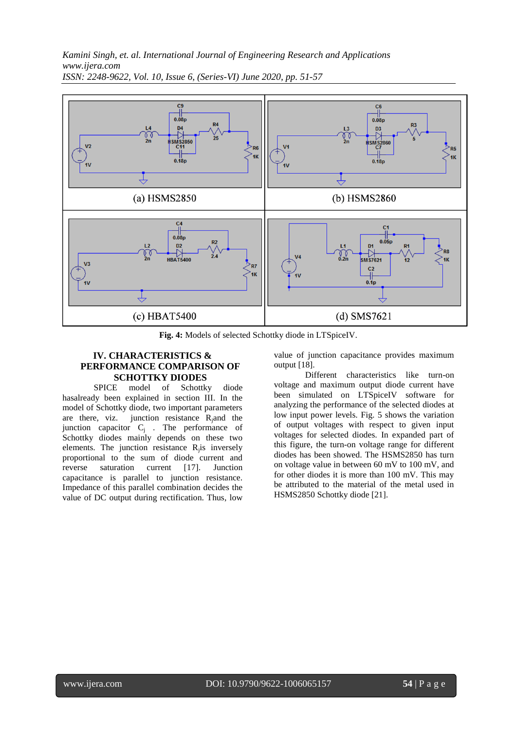

**Fig. 4:** Models of selected Schottky diode in LTSpiceIV.

# **IV. CHARACTERISTICS & PERFORMANCE COMPARISON OF SCHOTTKY DIODES**

SPICE model of Schottky diode hasalready been explained in section III. In the model of Schottky diode, two important parameters are there, viz. junction resistance  $R_i$  and the junction capacitor  $C_j$ . The performance of Schottky diodes mainly depends on these two elements. The junction resistance  $R_j$  is inversely proportional to the sum of diode current and reverse saturation current [17]. Junction capacitance is parallel to junction resistance. Impedance of this parallel combination decides the value of DC output during rectification. Thus, low

value of junction capacitance provides maximum output [18].

Different characteristics like turn-on voltage and maximum output diode current have been simulated on LTSpiceIV software for analyzing the performance of the selected diodes at low input power levels. Fig. 5 shows the variation of output voltages with respect to given input voltages for selected diodes. In expanded part of this figure, the turn-on voltage range for different diodes has been showed. The HSMS2850 has turn on voltage value in between 60 mV to 100 mV, and for other diodes it is more than 100 mV. This may be attributed to the material of the metal used in HSMS2850 Schottky diode [21].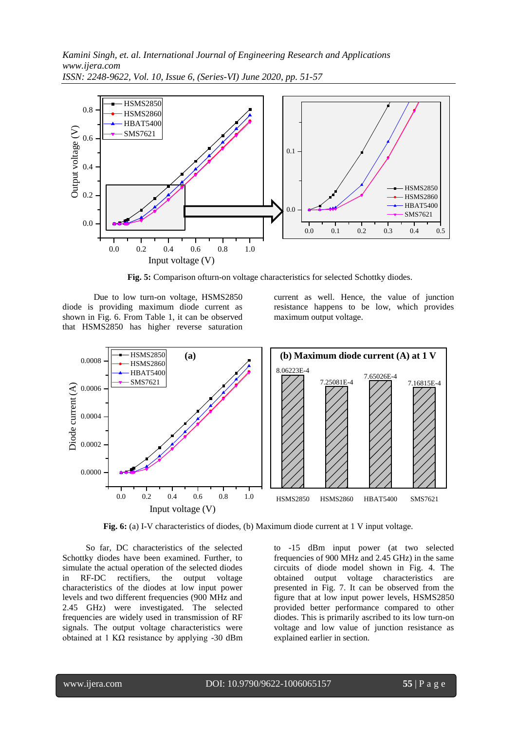

**Fig. 5:** Comparison ofturn-on voltage characteristics for selected Schottky diodes.

Due to low turn-on voltage, HSMS2850 diode is providing maximum diode current as shown in Fig. 6. From Table 1, it can be observed that HSMS2850 has higher reverse saturation

current as well. Hence, the value of junction resistance happens to be low, which provides maximum output voltage.



**Fig. 6:** (a) I-V characteristics of diodes, (b) Maximum diode current at 1 V input voltage.

So far, DC characteristics of the selected Schottky diodes have been examined. Further, to simulate the actual operation of the selected diodes in RF-DC rectifiers, the output voltage characteristics of the diodes at low input power levels and two different frequencies (900 MHz and 2.45 GHz) were investigated. The selected frequencies are widely used in transmission of RF signals. The output voltage characteristics were obtained at 1 K $\Omega$  resistance by applying -30 dBm

to -15 dBm input power (at two selected frequencies of 900 MHz and 2.45 GHz) in the same circuits of diode model shown in Fig. 4. The obtained output voltage characteristics are presented in Fig. 7. It can be observed from the figure that at low input power levels, HSMS2850 provided better performance compared to other diodes. This is primarily ascribed to its low turn-on voltage and low value of junction resistance as explained earlier in section.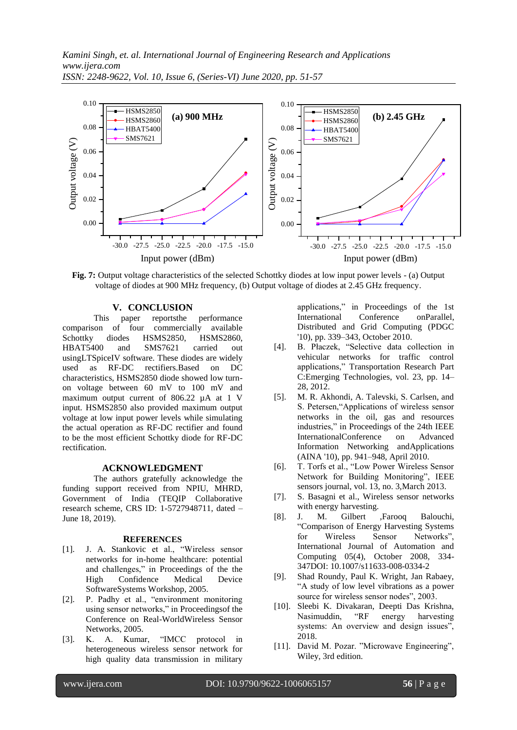

**Fig. 7:** Output voltage characteristics of the selected Schottky diodes at low input power levels - (a) Output voltage of diodes at 900 MHz frequency, (b) Output voltage of diodes at 2.45 GHz frequency.

# **V. CONCLUSION**

This paper reportsthe performance comparison of four commercially available Schottky diodes HSMS2850, HSMS2860, HBAT5400 and SMS7621 carried out usingLTSpiceIV software. These diodes are widely used as RF-DC rectifiers.Based on DC characteristics, HSMS2850 diode showed low turnon voltage between 60 mV to 100 mV and maximum output current of 806.22 µA at 1 V input. HSMS2850 also provided maximum output voltage at low input power levels while simulating the actual operation as RF-DC rectifier and found to be the most efficient Schottky diode for RF-DC rectification.

## **ACKNOWLEDGMENT**

The authors gratefully acknowledge the funding support received from NPIU, MHRD, Government of India (TEQIP Collaborative research scheme, CRS ID: 1-5727948711, dated – June 18, 2019).

### **REFERENCES**

- [1]. J. A. Stankovic et al., "Wireless sensor networks for in-home healthcare: potential and challenges," in Proceedings of the the High Confidence Medical Device SoftwareSystems Workshop, 2005.
- [2]. P. Padhy et al., "environment monitoring using sensor networks," in Proceedingsof the Conference on Real-WorldWireless Sensor Networks, 2005.
- [3]. K. A. Kumar, "IMCC protocol in heterogeneous wireless sensor network for high quality data transmission in military

applications," in Proceedings of the 1st International Conference onParallel, Distributed and Grid Computing (PDGC '10), pp. 339–343, October 2010.

- [4]. B. Płaczek, "Selective data collection in vehicular networks for traffic control applications," Transportation Research Part C:Emerging Technologies, vol. 23, pp. 14– 28, 2012.
- [5]. M. R. Akhondi, A. Talevski, S. Carlsen, and S. Petersen,"Applications of wireless sensor networks in the oil, gas and resources industries," in Proceedings of the 24th IEEE InternationalConference on Advanced Information Networking andApplications (AINA '10), pp. 941–948, April 2010.
- [6]. T. Torfs et al., "Low Power Wireless Sensor Network for Building Monitoring", IEEE sensors journal, vol. 13, no. 3,March 2013.
- [7]. S. Basagni et al., Wireless sensor networks with energy harvesting.
- [8]. J. M. Gilbert ,Farooq Balouchi, "Comparison of Energy Harvesting Systems for Wireless Sensor Networks", International Journal of Automation and Computing 05(4), October 2008, 334- 347DOI: 10.1007/s11633-008-0334-2
- [9]. Shad Roundy, Paul K. Wright, Jan Rabaey, "A study of low level vibrations as a power source for wireless sensor nodes", 2003.
- [10]. Sleebi K. Divakaran, Deepti Das Krishna, Nasimuddin, "RF energy harvesting systems: An overview and design issues", 2018.
- [11]. David M. Pozar. "Microwave Engineering", Wiley, 3rd edition.